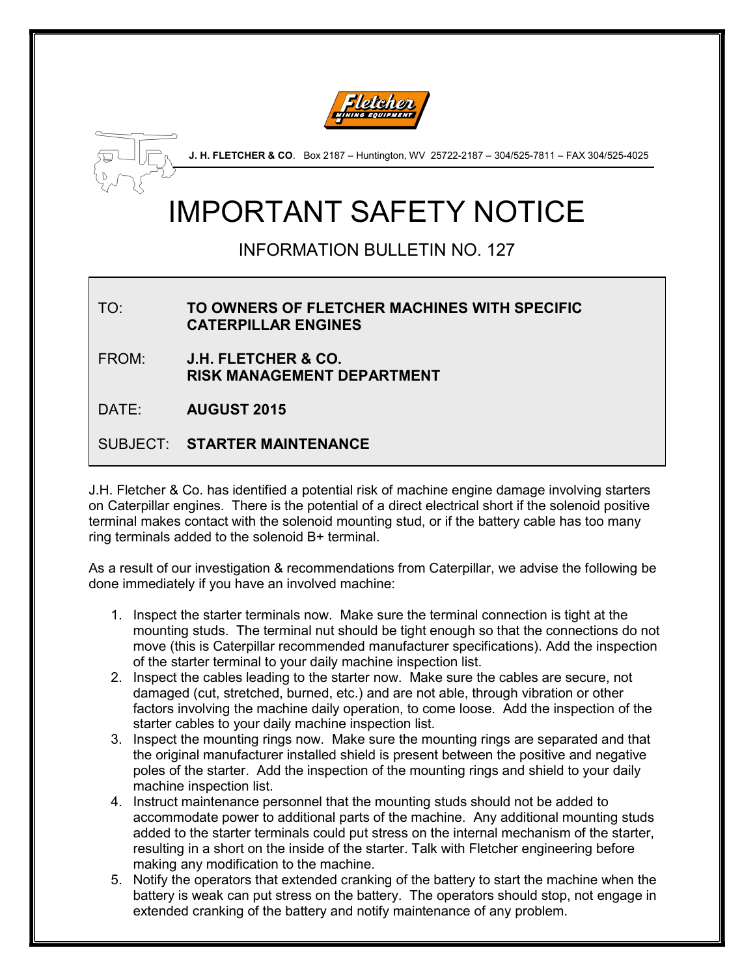



J. H. FLETCHER & CO. Box 2187 - Huntington, WV 25722-2187 - 304/525-7811 - FAX 304/525-4025

# IMPORTANT SAFETY NOTICE

## INFORMATION BULLETIN NO. 127

#### TO: TO OWNERS OF FLETCHER MACHINES WITH SPECIFIC CATERPILLAR ENGINES

FROM: J.H. FLETCHER & CO. RISK MANAGEMENT DEPARTMENT

DATE: **AUGUST 2015** 

### SUBJECT: STARTER MAINTENANCE

J.H. Fletcher & Co. has identified a potential risk of machine engine damage involving starters on Caterpillar engines. There is the potential of a direct electrical short if the solenoid positive terminal makes contact with the solenoid mounting stud, or if the battery cable has too many ring terminals added to the solenoid B+ terminal.

As a result of our investigation & recommendations from Caterpillar, we advise the following be done immediately if you have an involved machine:

- 1. Inspect the starter terminals now. Make sure the terminal connection is tight at the mounting studs. The terminal nut should be tight enough so that the connections do not move (this is Caterpillar recommended manufacturer specifications). Add the inspection of the starter terminal to your daily machine inspection list.
- 2. Inspect the cables leading to the starter now. Make sure the cables are secure, not damaged (cut, stretched, burned, etc.) and are not able, through vibration or other factors involving the machine daily operation, to come loose. Add the inspection of the starter cables to your daily machine inspection list.
- 3. Inspect the mounting rings now. Make sure the mounting rings are separated and that the original manufacturer installed shield is present between the positive and negative poles of the starter. Add the inspection of the mounting rings and shield to your daily machine inspection list.
- 4. Instruct maintenance personnel that the mounting studs should not be added to accommodate power to additional parts of the machine. Any additional mounting studs added to the starter terminals could put stress on the internal mechanism of the starter, resulting in a short on the inside of the starter. Talk with Fletcher engineering before making any modification to the machine.
- 5. Notify the operators that extended cranking of the battery to start the machine when the battery is weak can put stress on the battery. The operators should stop, not engage in extended cranking of the battery and notify maintenance of any problem.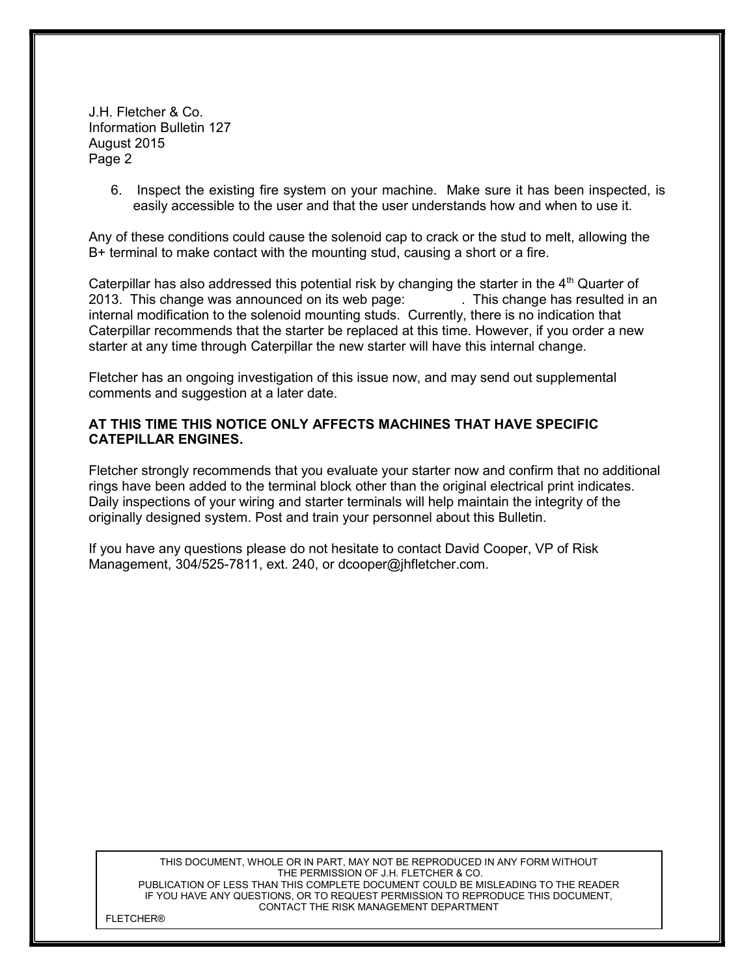J.H. Fletcher & Co. Information Bulletin 127 August 2015 Page 2

> 6. Inspect the existing fire system on your machine. Make sure it has been inspected, is easily accessible to the user and that the user understands how and when to use it.

Any of these conditions could cause the solenoid cap to crack or the stud to melt, allowing the B+ terminal to make contact with the mounting stud, causing a short or a fire.

Caterpillar has also addressed this potential risk by changing the starter in the 4<sup>th</sup> Quarter of 2013. This change was announced on its web page: . This change has resulted in an internal modification to the solenoid mounting studs. Currently, there is no indication that Caterpillar recommends that the starter be replaced at this time. However, if you order a new starter at any time through Caterpillar the new starter will have this internal change.

Fletcher has an ongoing investigation of this issue now, and may send out supplemental comments and suggestion at a later date.

#### AT THIS TIME THIS NOTICE ONLY AFFECTS MACHINES THAT HAVE SPECIFIC CATEPILLAR ENGINES.

Fletcher strongly recommends that you evaluate your starter now and confirm that no additional rings have been added to the terminal block other than the original electrical print indicates. Daily inspections of your wiring and starter terminals will help maintain the integrity of the originally designed system. Post and train your personnel about this Bulletin.

If you have any questions please do not hesitate to contact David Cooper, VP of Risk Management, 304/525-7811, ext. 240, or dcooper@jhfletcher.com.

THIS DOCUMENT, WHOLE OR IN PART, MAY NOT BE REPRODUCED IN ANY FORM WITHOUT THE PERMISSION OF J.H. FLETCHER & CO. PUBLICATION OF LESS THAN THIS COMPLETE DOCUMENT COULD BE MISLEADING TO THE READER IF YOU HAVE ANY QUESTIONS, OR TO REQUEST PERMISSION TO REPRODUCE THIS DOCUMENT, CONTACT THE RISK MANAGEMENT DEPARTMENT

FLETCHER®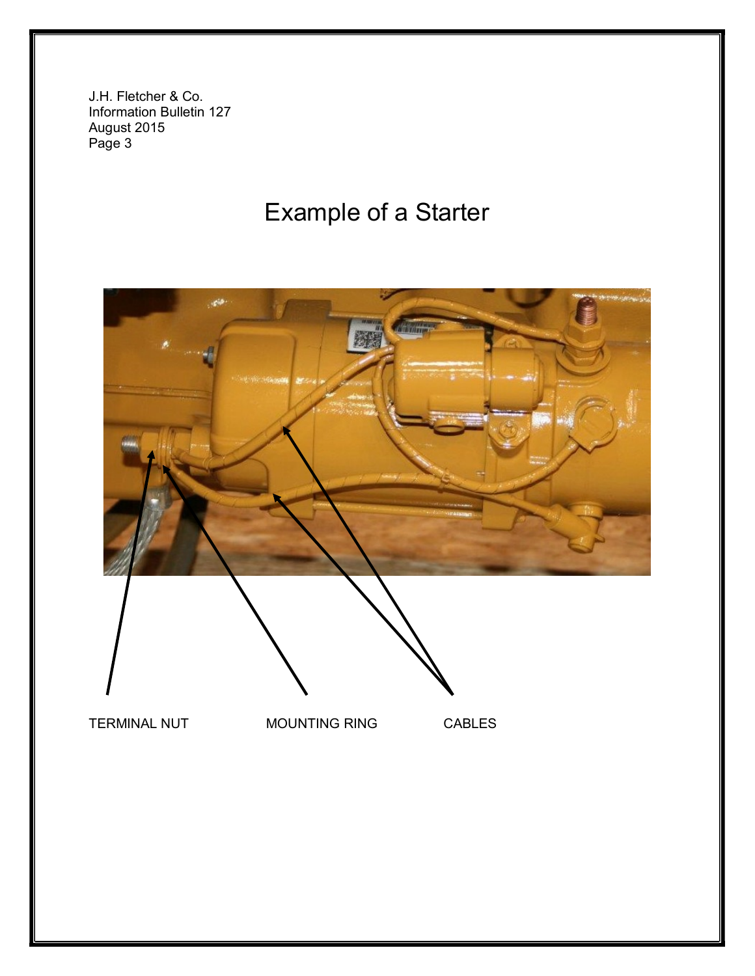J.H. Fletcher & Co. Information Bulletin 127 August 2015 Page 3

## Example of a Starter